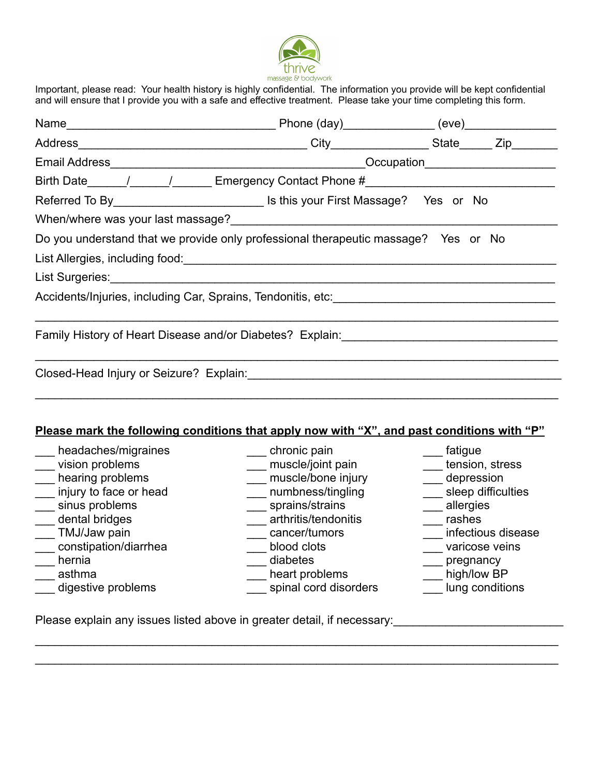

Important, please read: Your health history is highly confidential. The information you provide will be kept confidential and will ensure that I provide you with a safe and effective treatment. Please take your time completing this form.

| Referred To By _________________________________ Is this your First Massage? Yes or No                                                                                                                                               |                                                                                                                      |                                                                                          |  |
|--------------------------------------------------------------------------------------------------------------------------------------------------------------------------------------------------------------------------------------|----------------------------------------------------------------------------------------------------------------------|------------------------------------------------------------------------------------------|--|
|                                                                                                                                                                                                                                      |                                                                                                                      |                                                                                          |  |
| Do you understand that we provide only professional therapeutic massage? Yes or No                                                                                                                                                   |                                                                                                                      |                                                                                          |  |
|                                                                                                                                                                                                                                      |                                                                                                                      |                                                                                          |  |
| List Surgeries: Note and the set of the set of the set of the set of the set of the set of the set of the set of the set of the set of the set of the set of the set of the set of the set of the set of the set of the set of       |                                                                                                                      |                                                                                          |  |
| Accidents/Injuries, including Car, Sprains, Tendonitis, etc: <b>with the contract of the contract of the contract of the contract of the contract of the contract of the contract of the contract of the contract of the contrac</b> |                                                                                                                      |                                                                                          |  |
| Family History of Heart Disease and/or Diabetes? Explain: ______________________                                                                                                                                                     |                                                                                                                      |                                                                                          |  |
|                                                                                                                                                                                                                                      |                                                                                                                      |                                                                                          |  |
| Please mark the following conditions that apply now with "X", and past conditions with "P"<br>headaches/migraines<br>vision problems<br>___ hearing problems<br>injury to face or head<br>sinus problems                             | ____ chronic pain<br>___ muscle/joint pain<br>___ muscle/bone injury<br>___ numbness/tingling<br>___ sprains/strains | ___ fatigue<br>tension, stress<br>___ depression<br>____ sleep difficulties<br>allergies |  |

- 
- \_\_dental bridges \_\_\_\_ arthritis/tendonitis \_\_\_ rashes<br>\_\_TMJ/Jaw pain \_\_\_ cancer/tumors \_\_\_ infectio
- —<br>constipation/diarrhea blood clots
	-
	- asthma \_\_\_ \_\_\_ \_\_\_ heart problems \_\_

 $\_$  $\mathcal{L}_\mathcal{L} = \mathcal{L}_\mathcal{L} = \mathcal{L}_\mathcal{L} = \mathcal{L}_\mathcal{L} = \mathcal{L}_\mathcal{L} = \mathcal{L}_\mathcal{L} = \mathcal{L}_\mathcal{L} = \mathcal{L}_\mathcal{L} = \mathcal{L}_\mathcal{L} = \mathcal{L}_\mathcal{L} = \mathcal{L}_\mathcal{L} = \mathcal{L}_\mathcal{L} = \mathcal{L}_\mathcal{L} = \mathcal{L}_\mathcal{L} = \mathcal{L}_\mathcal{L} = \mathcal{L}_\mathcal{L} = \mathcal{L}_\mathcal{L}$ 

- digestive problems extending the spinal cord disorders and lung conditions
- 
- example and the cancer/tumors and the cancer/tumors and the cancer infectious disease<br>and the cancer of the cancer of the cancer varicose veins
	-
	-
- \_\_\_ hernia \_\_\_\_ diabetes \_\_\_\_ pregnancy<br>\_\_ asthma heart problems \_\_\_\_ high/low BP
	-

Please explain any issues listed above in greater detail, if necessary: